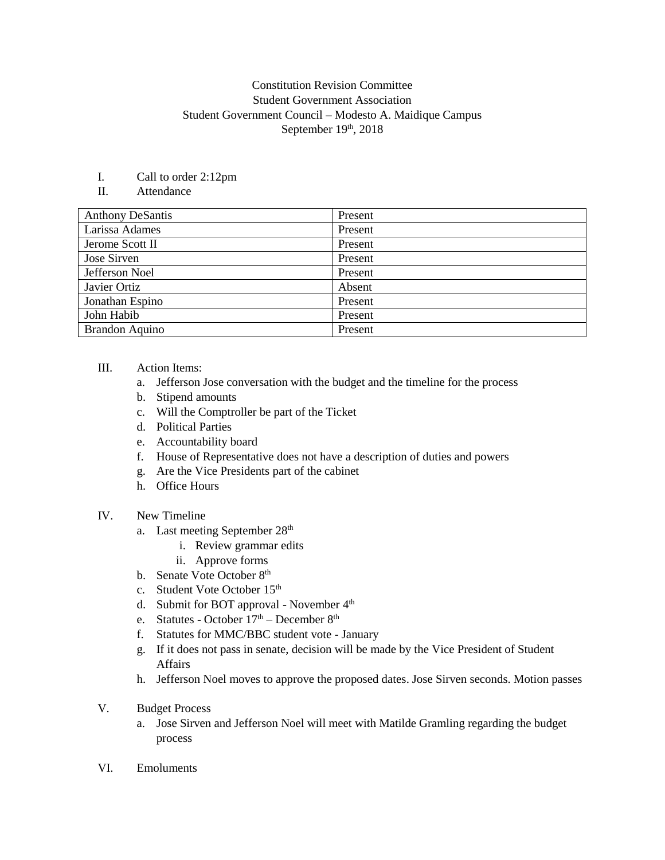## Constitution Revision Committee Student Government Association Student Government Council – Modesto A. Maidique Campus September 19th, 2018

I. Call to order 2:12pm

## II. Attendance

| <b>Anthony DeSantis</b> | Present |
|-------------------------|---------|
| Larissa Adames          | Present |
| Jerome Scott II         | Present |
| Jose Sirven             | Present |
| Jefferson Noel          | Present |
| Javier Ortiz            | Absent  |
| Jonathan Espino         | Present |
| John Habib              | Present |
| <b>Brandon Aquino</b>   | Present |

## III. Action Items:

- a. Jefferson Jose conversation with the budget and the timeline for the process
- b. Stipend amounts
- c. Will the Comptroller be part of the Ticket
- d. Political Parties
- e. Accountability board
- f. House of Representative does not have a description of duties and powers
- g. Are the Vice Presidents part of the cabinet
- h. Office Hours
- IV. New Timeline
	- a. Last meeting September 28<sup>th</sup>
		- i. Review grammar edits
		- ii. Approve forms
	- b. Senate Vote October 8<sup>th</sup>
	- c. Student Vote October 15<sup>th</sup>
	- d. Submit for BOT approval November  $4<sup>th</sup>$
	- e. Statutes October  $17<sup>th</sup>$  December  $8<sup>th</sup>$
	- f. Statutes for MMC/BBC student vote January
	- g. If it does not pass in senate, decision will be made by the Vice President of Student Affairs
	- h. Jefferson Noel moves to approve the proposed dates. Jose Sirven seconds. Motion passes
- V. Budget Process
	- a. Jose Sirven and Jefferson Noel will meet with Matilde Gramling regarding the budget process
- VI. Emoluments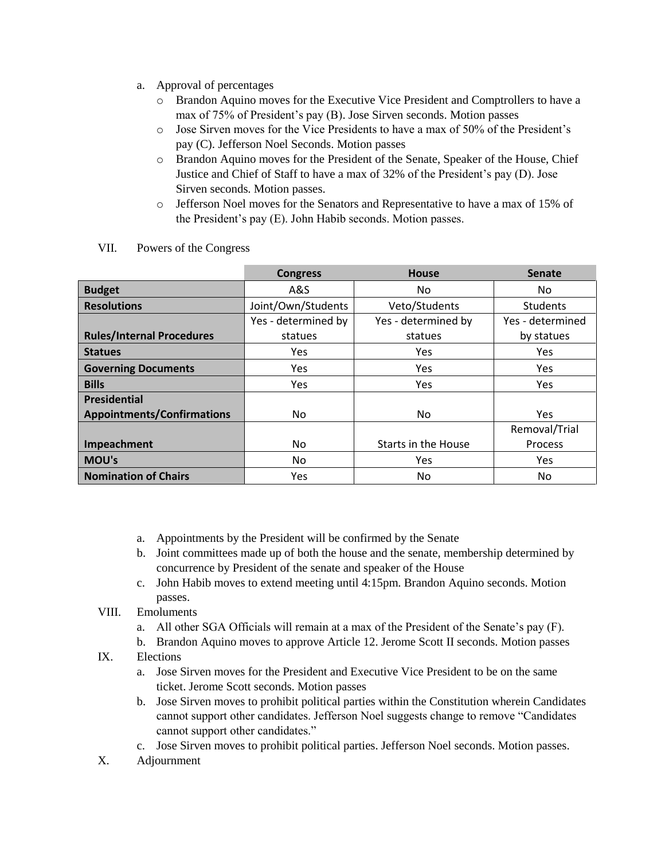- a. Approval of percentages
	- o Brandon Aquino moves for the Executive Vice President and Comptrollers to have a max of 75% of President's pay (B). Jose Sirven seconds. Motion passes
	- o Jose Sirven moves for the Vice Presidents to have a max of 50% of the President's pay (C). Jefferson Noel Seconds. Motion passes
	- o Brandon Aquino moves for the President of the Senate, Speaker of the House, Chief Justice and Chief of Staff to have a max of 32% of the President's pay (D). Jose Sirven seconds. Motion passes.
	- o Jefferson Noel moves for the Senators and Representative to have a max of 15% of the President's pay (E). John Habib seconds. Motion passes.

|                                   | <b>Congress</b>     | <b>House</b>        | <b>Senate</b>    |
|-----------------------------------|---------------------|---------------------|------------------|
| <b>Budget</b>                     | A&S                 | No.                 | No.              |
| <b>Resolutions</b>                | Joint/Own/Students  | Veto/Students       | <b>Students</b>  |
|                                   | Yes - determined by | Yes - determined by | Yes - determined |
| <b>Rules/Internal Procedures</b>  | statues             | statues             | by statues       |
| <b>Statues</b>                    | <b>Yes</b>          | Yes                 | Yes              |
| <b>Governing Documents</b>        | <b>Yes</b>          | Yes                 | <b>Yes</b>       |
| <b>Bills</b>                      | Yes                 | Yes                 | <b>Yes</b>       |
| <b>Presidential</b>               |                     |                     |                  |
| <b>Appointments/Confirmations</b> | No                  | No                  | Yes              |
|                                   |                     |                     | Removal/Trial    |
| Impeachment                       | No                  | Starts in the House | Process          |
| MOU's                             | No                  | Yes                 | <b>Yes</b>       |
| <b>Nomination of Chairs</b>       | Yes                 | No                  | No.              |

VII. Powers of the Congress

- a. Appointments by the President will be confirmed by the Senate
- b. Joint committees made up of both the house and the senate, membership determined by concurrence by President of the senate and speaker of the House
- c. John Habib moves to extend meeting until 4:15pm. Brandon Aquino seconds. Motion passes.
- VIII. Emoluments
	- a. All other SGA Officials will remain at a max of the President of the Senate's pay (F).
	- b. Brandon Aquino moves to approve Article 12. Jerome Scott II seconds. Motion passes
- IX. Elections
	- a. Jose Sirven moves for the President and Executive Vice President to be on the same ticket. Jerome Scott seconds. Motion passes
	- b. Jose Sirven moves to prohibit political parties within the Constitution wherein Candidates cannot support other candidates. Jefferson Noel suggests change to remove "Candidates cannot support other candidates."
	- c. Jose Sirven moves to prohibit political parties. Jefferson Noel seconds. Motion passes.
- X. Adjournment